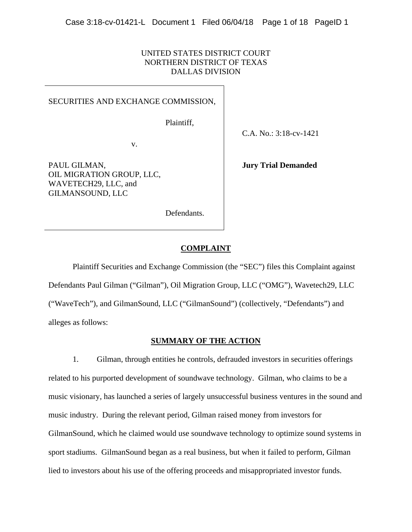# UNITED STATES DISTRICT COURT NORTHERN DISTRICT OF TEXAS DALLAS DIVISION

### SECURITIES AND EXCHANGE COMMISSION,

Plaintiff,

v.

PAUL GILMAN, OIL MIGRATION GROUP, LLC, WAVETECH29, LLC, and GILMANSOUND, LLC

C.A. No.: 3:18-cv-1421

**Jury Trial Demanded** 

Defendants.

### **COMPLAINT**

Plaintiff Securities and Exchange Commission (the "SEC") files this Complaint against Defendants Paul Gilman ("Gilman"), Oil Migration Group, LLC ("OMG"), Wavetech29, LLC ("WaveTech"), and GilmanSound, LLC ("GilmanSound") (collectively, "Defendants") and alleges as follows:

#### **SUMMARY OF THE ACTION**

1. Gilman, through entities he controls, defrauded investors in securities offerings related to his purported development of soundwave technology. Gilman, who claims to be a music visionary, has launched a series of largely unsuccessful business ventures in the sound and music industry. During the relevant period, Gilman raised money from investors for GilmanSound, which he claimed would use soundwave technology to optimize sound systems in sport stadiums. GilmanSound began as a real business, but when it failed to perform, Gilman lied to investors about his use of the offering proceeds and misappropriated investor funds.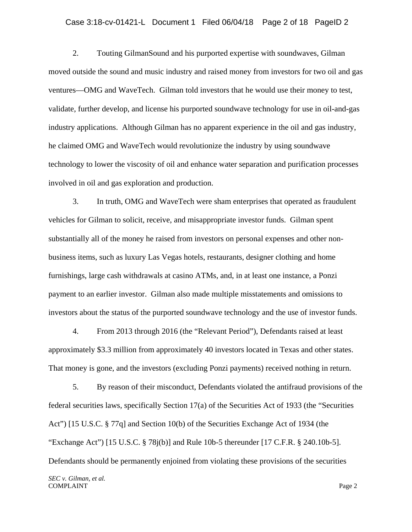#### Case 3:18-cv-01421-L Document 1 Filed 06/04/18 Page 2 of 18 PageID 2

2. Touting GilmanSound and his purported expertise with soundwaves, Gilman moved outside the sound and music industry and raised money from investors for two oil and gas ventures—OMG and WaveTech. Gilman told investors that he would use their money to test, validate, further develop, and license his purported soundwave technology for use in oil-and-gas industry applications. Although Gilman has no apparent experience in the oil and gas industry, he claimed OMG and WaveTech would revolutionize the industry by using soundwave technology to lower the viscosity of oil and enhance water separation and purification processes involved in oil and gas exploration and production.

3. In truth, OMG and WaveTech were sham enterprises that operated as fraudulent vehicles for Gilman to solicit, receive, and misappropriate investor funds. Gilman spent substantially all of the money he raised from investors on personal expenses and other nonbusiness items, such as luxury Las Vegas hotels, restaurants, designer clothing and home furnishings, large cash withdrawals at casino ATMs, and, in at least one instance, a Ponzi payment to an earlier investor. Gilman also made multiple misstatements and omissions to investors about the status of the purported soundwave technology and the use of investor funds.

4. From 2013 through 2016 (the "Relevant Period"), Defendants raised at least approximately \$3.3 million from approximately 40 investors located in Texas and other states. That money is gone, and the investors (excluding Ponzi payments) received nothing in return.

5. By reason of their misconduct, Defendants violated the antifraud provisions of the federal securities laws, specifically Section 17(a) of the Securities Act of 1933 (the "Securities Act") [15 U.S.C. § 77q] and Section 10(b) of the Securities Exchange Act of 1934 (the "Exchange Act") [15 U.S.C. § 78j(b)] and Rule 10b-5 thereunder [17 C.F.R. § 240.10b-5]. Defendants should be permanently enjoined from violating these provisions of the securities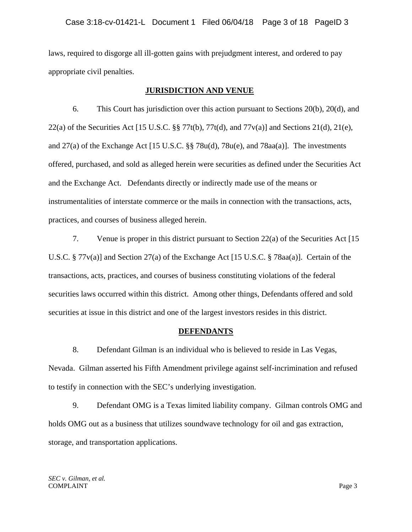laws, required to disgorge all ill-gotten gains with prejudgment interest, and ordered to pay appropriate civil penalties.

### **JURISDICTION AND VENUE**

6. This Court has jurisdiction over this action pursuant to Sections 20(b), 20(d), and 22(a) of the Securities Act [15 U.S.C.  $\S$  77t(b), 77t(d), and 77v(a)] and Sections 21(d), 21(e), and 27(a) of the Exchange Act [15 U.S.C. §§ 78u(d), 78u(e), and 78aa(a)]. The investments offered, purchased, and sold as alleged herein were securities as defined under the Securities Act and the Exchange Act. Defendants directly or indirectly made use of the means or instrumentalities of interstate commerce or the mails in connection with the transactions, acts, practices, and courses of business alleged herein.

7. Venue is proper in this district pursuant to Section 22(a) of the Securities Act [15 U.S.C. § 77 $v(a)$ ] and Section 27(a) of the Exchange Act [15 U.S.C. § 78aa(a)]. Certain of the transactions, acts, practices, and courses of business constituting violations of the federal securities laws occurred within this district. Among other things, Defendants offered and sold securities at issue in this district and one of the largest investors resides in this district.

#### **DEFENDANTS**

8. Defendant Gilman is an individual who is believed to reside in Las Vegas, Nevada. Gilman asserted his Fifth Amendment privilege against self-incrimination and refused to testify in connection with the SEC's underlying investigation.

9. Defendant OMG is a Texas limited liability company. Gilman controls OMG and holds OMG out as a business that utilizes soundwave technology for oil and gas extraction, storage, and transportation applications.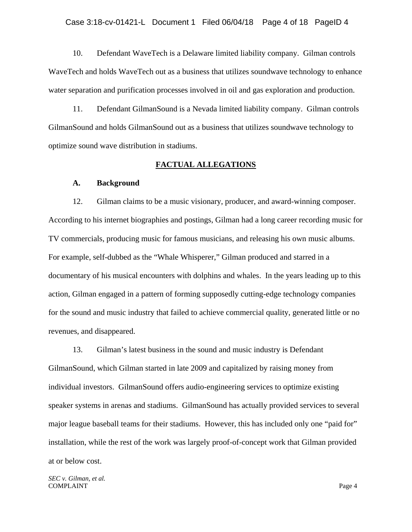10. Defendant WaveTech is a Delaware limited liability company. Gilman controls WaveTech and holds WaveTech out as a business that utilizes soundwave technology to enhance water separation and purification processes involved in oil and gas exploration and production.

11. Defendant GilmanSound is a Nevada limited liability company. Gilman controls GilmanSound and holds GilmanSound out as a business that utilizes soundwave technology to optimize sound wave distribution in stadiums.

#### **FACTUAL ALLEGATIONS**

#### **A. Background**

12. Gilman claims to be a music visionary, producer, and award-winning composer. According to his internet biographies and postings, Gilman had a long career recording music for TV commercials, producing music for famous musicians, and releasing his own music albums. For example, self-dubbed as the "Whale Whisperer," Gilman produced and starred in a documentary of his musical encounters with dolphins and whales. In the years leading up to this action, Gilman engaged in a pattern of forming supposedly cutting-edge technology companies for the sound and music industry that failed to achieve commercial quality, generated little or no revenues, and disappeared.

13. Gilman's latest business in the sound and music industry is Defendant GilmanSound, which Gilman started in late 2009 and capitalized by raising money from individual investors. GilmanSound offers audio-engineering services to optimize existing speaker systems in arenas and stadiums. GilmanSound has actually provided services to several major league baseball teams for their stadiums. However, this has included only one "paid for" installation, while the rest of the work was largely proof-of-concept work that Gilman provided at or below cost.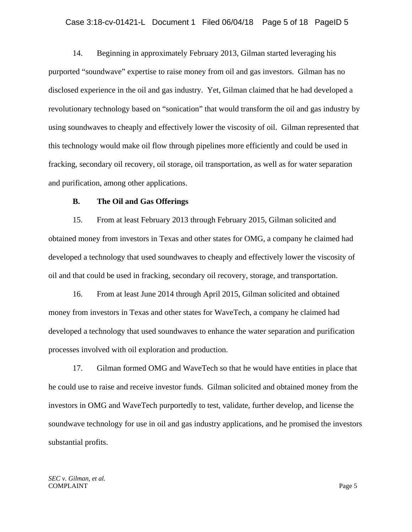#### Case 3:18-cv-01421-L Document 1 Filed 06/04/18 Page 5 of 18 PageID 5

14. Beginning in approximately February 2013, Gilman started leveraging his purported "soundwave" expertise to raise money from oil and gas investors. Gilman has no disclosed experience in the oil and gas industry. Yet, Gilman claimed that he had developed a revolutionary technology based on "sonication" that would transform the oil and gas industry by using soundwaves to cheaply and effectively lower the viscosity of oil. Gilman represented that this technology would make oil flow through pipelines more efficiently and could be used in fracking, secondary oil recovery, oil storage, oil transportation, as well as for water separation and purification, among other applications.

### **B. The Oil and Gas Offerings**

15. From at least February 2013 through February 2015, Gilman solicited and obtained money from investors in Texas and other states for OMG, a company he claimed had developed a technology that used soundwaves to cheaply and effectively lower the viscosity of oil and that could be used in fracking, secondary oil recovery, storage, and transportation.

16. From at least June 2014 through April 2015, Gilman solicited and obtained money from investors in Texas and other states for WaveTech, a company he claimed had developed a technology that used soundwaves to enhance the water separation and purification processes involved with oil exploration and production.

17. Gilman formed OMG and WaveTech so that he would have entities in place that he could use to raise and receive investor funds. Gilman solicited and obtained money from the investors in OMG and WaveTech purportedly to test, validate, further develop, and license the soundwave technology for use in oil and gas industry applications, and he promised the investors substantial profits.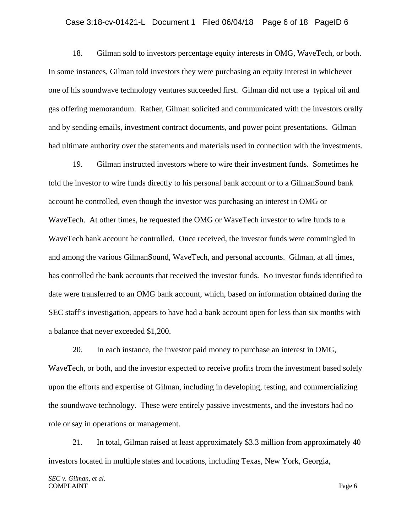#### Case 3:18-cv-01421-L Document 1 Filed 06/04/18 Page 6 of 18 PageID 6

18. Gilman sold to investors percentage equity interests in OMG, WaveTech, or both. In some instances, Gilman told investors they were purchasing an equity interest in whichever one of his soundwave technology ventures succeeded first. Gilman did not use a typical oil and gas offering memorandum. Rather, Gilman solicited and communicated with the investors orally and by sending emails, investment contract documents, and power point presentations. Gilman had ultimate authority over the statements and materials used in connection with the investments.

19. Gilman instructed investors where to wire their investment funds. Sometimes he told the investor to wire funds directly to his personal bank account or to a GilmanSound bank account he controlled, even though the investor was purchasing an interest in OMG or WaveTech. At other times, he requested the OMG or WaveTech investor to wire funds to a WaveTech bank account he controlled. Once received, the investor funds were commingled in and among the various GilmanSound, WaveTech, and personal accounts. Gilman, at all times, has controlled the bank accounts that received the investor funds. No investor funds identified to date were transferred to an OMG bank account, which, based on information obtained during the SEC staff's investigation, appears to have had a bank account open for less than six months with a balance that never exceeded \$1,200.

20. In each instance, the investor paid money to purchase an interest in OMG, WaveTech, or both, and the investor expected to receive profits from the investment based solely upon the efforts and expertise of Gilman, including in developing, testing, and commercializing the soundwave technology. These were entirely passive investments, and the investors had no role or say in operations or management.

21. In total, Gilman raised at least approximately \$3.3 million from approximately 40 investors located in multiple states and locations, including Texas, New York, Georgia,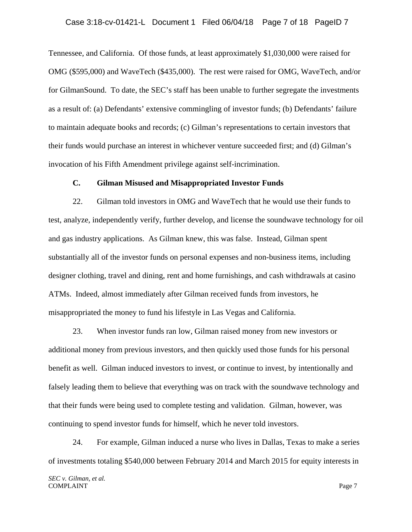Tennessee, and California. Of those funds, at least approximately \$1,030,000 were raised for OMG (\$595,000) and WaveTech (\$435,000). The rest were raised for OMG, WaveTech, and/or for GilmanSound. To date, the SEC's staff has been unable to further segregate the investments as a result of: (a) Defendants' extensive commingling of investor funds; (b) Defendants' failure to maintain adequate books and records; (c) Gilman's representations to certain investors that their funds would purchase an interest in whichever venture succeeded first; and (d) Gilman's invocation of his Fifth Amendment privilege against self-incrimination.

### **C. Gilman Misused and Misappropriated Investor Funds**

22. Gilman told investors in OMG and WaveTech that he would use their funds to test, analyze, independently verify, further develop, and license the soundwave technology for oil and gas industry applications. As Gilman knew, this was false. Instead, Gilman spent substantially all of the investor funds on personal expenses and non-business items, including designer clothing, travel and dining, rent and home furnishings, and cash withdrawals at casino ATMs. Indeed, almost immediately after Gilman received funds from investors, he misappropriated the money to fund his lifestyle in Las Vegas and California.

23. When investor funds ran low, Gilman raised money from new investors or additional money from previous investors, and then quickly used those funds for his personal benefit as well. Gilman induced investors to invest, or continue to invest, by intentionally and falsely leading them to believe that everything was on track with the soundwave technology and that their funds were being used to complete testing and validation. Gilman, however, was continuing to spend investor funds for himself, which he never told investors.

24. For example, Gilman induced a nurse who lives in Dallas, Texas to make a series of investments totaling \$540,000 between February 2014 and March 2015 for equity interests in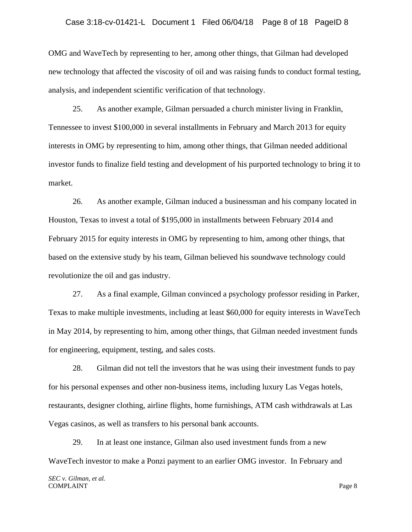OMG and WaveTech by representing to her, among other things, that Gilman had developed new technology that affected the viscosity of oil and was raising funds to conduct formal testing, analysis, and independent scientific verification of that technology.

25. As another example, Gilman persuaded a church minister living in Franklin, Tennessee to invest \$100,000 in several installments in February and March 2013 for equity interests in OMG by representing to him, among other things, that Gilman needed additional investor funds to finalize field testing and development of his purported technology to bring it to market.

26. As another example, Gilman induced a businessman and his company located in Houston, Texas to invest a total of \$195,000 in installments between February 2014 and February 2015 for equity interests in OMG by representing to him, among other things, that based on the extensive study by his team, Gilman believed his soundwave technology could revolutionize the oil and gas industry.

27. As a final example, Gilman convinced a psychology professor residing in Parker, Texas to make multiple investments, including at least \$60,000 for equity interests in WaveTech in May 2014, by representing to him, among other things, that Gilman needed investment funds for engineering, equipment, testing, and sales costs.

28. Gilman did not tell the investors that he was using their investment funds to pay for his personal expenses and other non-business items, including luxury Las Vegas hotels, restaurants, designer clothing, airline flights, home furnishings, ATM cash withdrawals at Las Vegas casinos, as well as transfers to his personal bank accounts.

29. In at least one instance, Gilman also used investment funds from a new WaveTech investor to make a Ponzi payment to an earlier OMG investor. In February and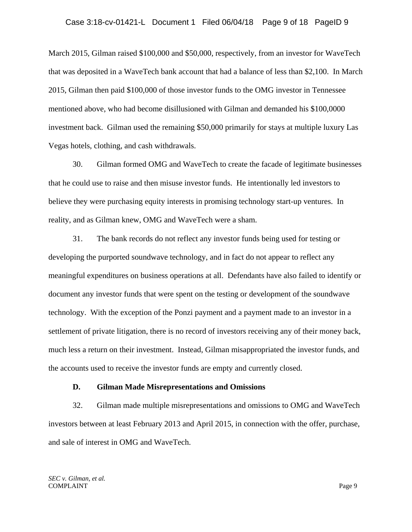March 2015, Gilman raised \$100,000 and \$50,000, respectively, from an investor for WaveTech that was deposited in a WaveTech bank account that had a balance of less than \$2,100. In March 2015, Gilman then paid \$100,000 of those investor funds to the OMG investor in Tennessee mentioned above, who had become disillusioned with Gilman and demanded his \$100,0000 investment back. Gilman used the remaining \$50,000 primarily for stays at multiple luxury Las Vegas hotels, clothing, and cash withdrawals.

30. Gilman formed OMG and WaveTech to create the facade of legitimate businesses that he could use to raise and then misuse investor funds. He intentionally led investors to believe they were purchasing equity interests in promising technology start-up ventures. In reality, and as Gilman knew, OMG and WaveTech were a sham.

31. The bank records do not reflect any investor funds being used for testing or developing the purported soundwave technology, and in fact do not appear to reflect any meaningful expenditures on business operations at all. Defendants have also failed to identify or document any investor funds that were spent on the testing or development of the soundwave technology. With the exception of the Ponzi payment and a payment made to an investor in a settlement of private litigation, there is no record of investors receiving any of their money back, much less a return on their investment. Instead, Gilman misappropriated the investor funds, and the accounts used to receive the investor funds are empty and currently closed.

### **D. Gilman Made Misrepresentations and Omissions**

32. Gilman made multiple misrepresentations and omissions to OMG and WaveTech investors between at least February 2013 and April 2015, in connection with the offer, purchase, and sale of interest in OMG and WaveTech.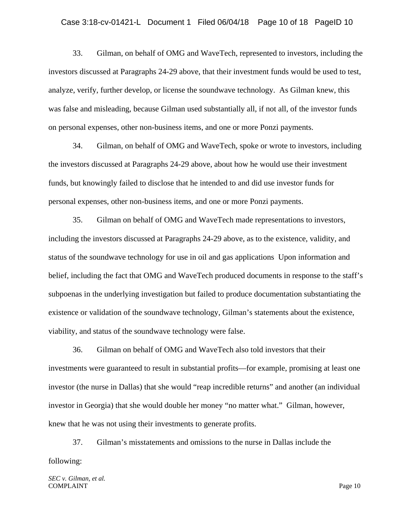#### Case 3:18-cv-01421-L Document 1 Filed 06/04/18 Page 10 of 18 PageID 10

33. Gilman, on behalf of OMG and WaveTech, represented to investors, including the investors discussed at Paragraphs 24-29 above, that their investment funds would be used to test, analyze, verify, further develop, or license the soundwave technology. As Gilman knew, this was false and misleading, because Gilman used substantially all, if not all, of the investor funds on personal expenses, other non-business items, and one or more Ponzi payments.

34. Gilman, on behalf of OMG and WaveTech, spoke or wrote to investors, including the investors discussed at Paragraphs 24-29 above, about how he would use their investment funds, but knowingly failed to disclose that he intended to and did use investor funds for personal expenses, other non-business items, and one or more Ponzi payments.

35. Gilman on behalf of OMG and WaveTech made representations to investors, including the investors discussed at Paragraphs 24-29 above, as to the existence, validity, and status of the soundwave technology for use in oil and gas applications Upon information and belief, including the fact that OMG and WaveTech produced documents in response to the staff's subpoenas in the underlying investigation but failed to produce documentation substantiating the existence or validation of the soundwave technology, Gilman's statements about the existence, viability, and status of the soundwave technology were false.

36. Gilman on behalf of OMG and WaveTech also told investors that their investments were guaranteed to result in substantial profits—for example, promising at least one investor (the nurse in Dallas) that she would "reap incredible returns" and another (an individual investor in Georgia) that she would double her money "no matter what." Gilman, however, knew that he was not using their investments to generate profits.

37. Gilman's misstatements and omissions to the nurse in Dallas include the following: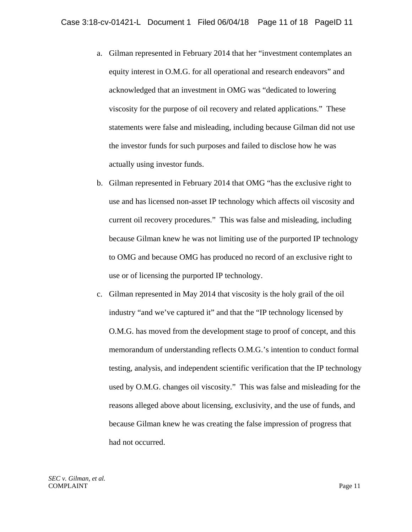- a. Gilman represented in February 2014 that her "investment contemplates an equity interest in O.M.G. for all operational and research endeavors" and acknowledged that an investment in OMG was "dedicated to lowering viscosity for the purpose of oil recovery and related applications." These statements were false and misleading, including because Gilman did not use the investor funds for such purposes and failed to disclose how he was actually using investor funds.
- b. Gilman represented in February 2014 that OMG "has the exclusive right to use and has licensed non-asset IP technology which affects oil viscosity and current oil recovery procedures." This was false and misleading, including because Gilman knew he was not limiting use of the purported IP technology to OMG and because OMG has produced no record of an exclusive right to use or of licensing the purported IP technology.
- c. Gilman represented in May 2014 that viscosity is the holy grail of the oil industry "and we've captured it" and that the "IP technology licensed by O.M.G. has moved from the development stage to proof of concept, and this memorandum of understanding reflects O.M.G.'s intention to conduct formal testing, analysis, and independent scientific verification that the IP technology used by O.M.G. changes oil viscosity." This was false and misleading for the reasons alleged above about licensing, exclusivity, and the use of funds, and because Gilman knew he was creating the false impression of progress that had not occurred.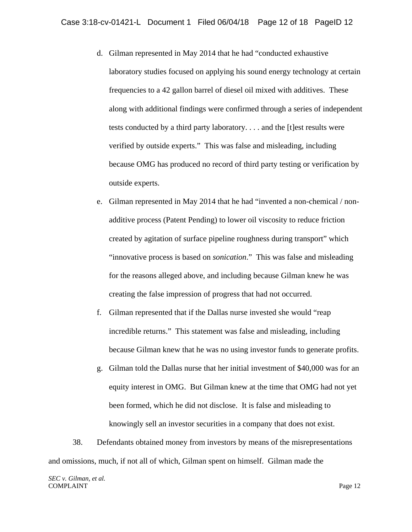- d. Gilman represented in May 2014 that he had "conducted exhaustive laboratory studies focused on applying his sound energy technology at certain frequencies to a 42 gallon barrel of diesel oil mixed with additives. These along with additional findings were confirmed through a series of independent tests conducted by a third party laboratory. . . . and the [t]est results were verified by outside experts." This was false and misleading, including because OMG has produced no record of third party testing or verification by outside experts.
- e. Gilman represented in May 2014 that he had "invented a non-chemical / nonadditive process (Patent Pending) to lower oil viscosity to reduce friction created by agitation of surface pipeline roughness during transport" which "innovative process is based on *sonication*." This was false and misleading for the reasons alleged above, and including because Gilman knew he was creating the false impression of progress that had not occurred.
- f. Gilman represented that if the Dallas nurse invested she would "reap incredible returns." This statement was false and misleading, including because Gilman knew that he was no using investor funds to generate profits.
- g. Gilman told the Dallas nurse that her initial investment of \$40,000 was for an equity interest in OMG. But Gilman knew at the time that OMG had not yet been formed, which he did not disclose. It is false and misleading to knowingly sell an investor securities in a company that does not exist.

38. Defendants obtained money from investors by means of the misrepresentations and omissions, much, if not all of which, Gilman spent on himself. Gilman made the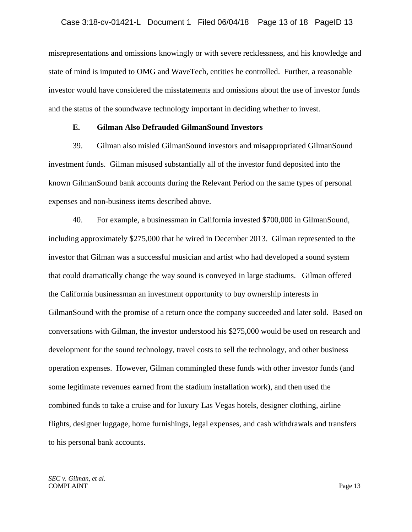misrepresentations and omissions knowingly or with severe recklessness, and his knowledge and state of mind is imputed to OMG and WaveTech, entities he controlled. Further, a reasonable investor would have considered the misstatements and omissions about the use of investor funds and the status of the soundwave technology important in deciding whether to invest.

### **E. Gilman Also Defrauded GilmanSound Investors**

39. Gilman also misled GilmanSound investors and misappropriated GilmanSound investment funds. Gilman misused substantially all of the investor fund deposited into the known GilmanSound bank accounts during the Relevant Period on the same types of personal expenses and non-business items described above.

40. For example, a businessman in California invested \$700,000 in GilmanSound, including approximately \$275,000 that he wired in December 2013.Gilman represented to the investor that Gilman was a successful musician and artist who had developed a sound system that could dramatically change the way sound is conveyed in large stadiums. Gilman offered the California businessman an investment opportunity to buy ownership interests in GilmanSound with the promise of a return once the company succeeded and later sold. Based on conversations with Gilman, the investor understood his \$275,000 would be used on research and development for the sound technology, travel costs to sell the technology, and other business operation expenses. However, Gilman commingled these funds with other investor funds (and some legitimate revenues earned from the stadium installation work), and then used the combined funds to take a cruise and for luxury Las Vegas hotels, designer clothing, airline flights, designer luggage, home furnishings, legal expenses, and cash withdrawals and transfers to his personal bank accounts.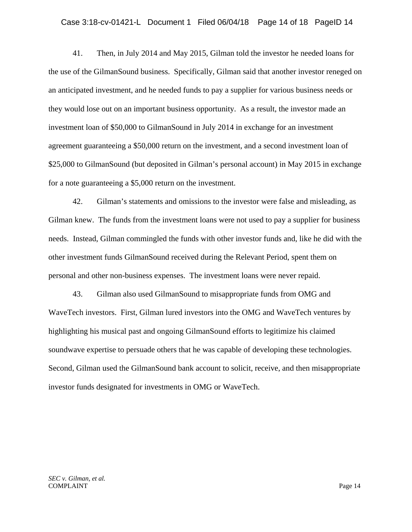### Case 3:18-cv-01421-L Document 1 Filed 06/04/18 Page 14 of 18 PageID 14

41. Then, in July 2014 and May 2015, Gilman told the investor he needed loans for the use of the GilmanSound business. Specifically, Gilman said that another investor reneged on an anticipated investment, and he needed funds to pay a supplier for various business needs or they would lose out on an important business opportunity. As a result, the investor made an investment loan of \$50,000 to GilmanSound in July 2014 in exchange for an investment agreement guaranteeing a \$50,000 return on the investment, and a second investment loan of \$25,000 to GilmanSound (but deposited in Gilman's personal account) in May 2015 in exchange for a note guaranteeing a \$5,000 return on the investment.

42. Gilman's statements and omissions to the investor were false and misleading, as Gilman knew. The funds from the investment loans were not used to pay a supplier for business needs. Instead, Gilman commingled the funds with other investor funds and, like he did with the other investment funds GilmanSound received during the Relevant Period, spent them on personal and other non-business expenses. The investment loans were never repaid.

43. Gilman also used GilmanSound to misappropriate funds from OMG and WaveTech investors. First, Gilman lured investors into the OMG and WaveTech ventures by highlighting his musical past and ongoing GilmanSound efforts to legitimize his claimed soundwave expertise to persuade others that he was capable of developing these technologies. Second, Gilman used the GilmanSound bank account to solicit, receive, and then misappropriate investor funds designated for investments in OMG or WaveTech.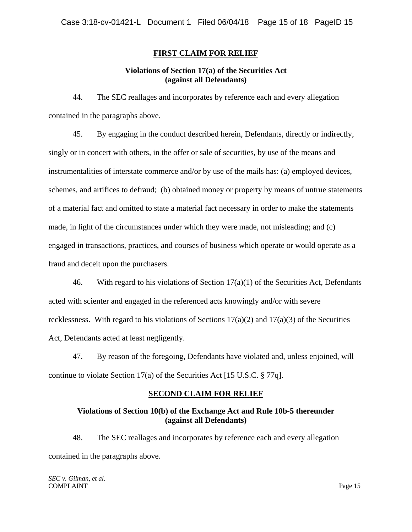# **FIRST CLAIM FOR RELIEF**

# **Violations of Section 17(a) of the Securities Act (against all Defendants)**

44. The SEC reallages and incorporates by reference each and every allegation contained in the paragraphs above.

45. By engaging in the conduct described herein, Defendants, directly or indirectly, singly or in concert with others, in the offer or sale of securities, by use of the means and instrumentalities of interstate commerce and/or by use of the mails has: (a) employed devices, schemes, and artifices to defraud; (b) obtained money or property by means of untrue statements of a material fact and omitted to state a material fact necessary in order to make the statements made, in light of the circumstances under which they were made, not misleading; and (c) engaged in transactions, practices, and courses of business which operate or would operate as a fraud and deceit upon the purchasers.

46. With regard to his violations of Section  $17(a)(1)$  of the Securities Act, Defendants acted with scienter and engaged in the referenced acts knowingly and/or with severe recklessness. With regard to his violations of Sections  $17(a)(2)$  and  $17(a)(3)$  of the Securities Act, Defendants acted at least negligently.

47. By reason of the foregoing, Defendants have violated and, unless enjoined, will continue to violate Section 17(a) of the Securities Act [15 U.S.C. § 77q].

### **SECOND CLAIM FOR RELIEF**

# **Violations of Section 10(b) of the Exchange Act and Rule 10b-5 thereunder (against all Defendants)**

48. The SEC reallages and incorporates by reference each and every allegation contained in the paragraphs above.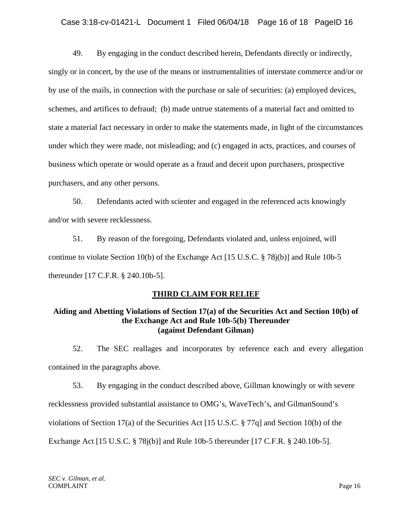# Case 3:18-cv-01421-L Document 1 Filed 06/04/18 Page 16 of 18 PageID 16

49. By engaging in the conduct described herein, Defendants directly or indirectly, singly or in concert, by the use of the means or instrumentalities of interstate commerce and/or or by use of the mails, in connection with the purchase or sale of securities: (a) employed devices, schemes, and artifices to defraud; (b) made untrue statements of a material fact and omitted to state a material fact necessary in order to make the statements made, in light of the circumstances under which they were made, not misleading; and (c) engaged in acts, practices, and courses of business which operate or would operate as a fraud and deceit upon purchasers, prospective purchasers, and any other persons.

50. Defendants acted with scienter and engaged in the referenced acts knowingly and/or with severe recklessness.

51. By reason of the foregoing, Defendants violated and, unless enjoined, will continue to violate Section 10(b) of the Exchange Act [15 U.S.C. § 78j(b)] and Rule 10b-5 thereunder [17 C.F.R. § 240.10b-5].

# **THIRD CLAIM FOR RELIEF**

### **Aiding and Abetting Violations of Section 17(a) of the Securities Act and Section 10(b) of the Exchange Act and Rule 10b-5(b) Thereunder (against Defendant Gilman)**

52. The SEC reallages and incorporates by reference each and every allegation contained in the paragraphs above.

53. By engaging in the conduct described above, Gillman knowingly or with severe recklessness provided substantial assistance to OMG's, WaveTech's, and GilmanSound's violations of Section 17(a) of the Securities Act [15 U.S.C. § 77q] and Section 10(b) of the Exchange Act [15 U.S.C. § 78j(b)] and Rule 10b-5 thereunder [17 C.F.R. § 240.10b-5].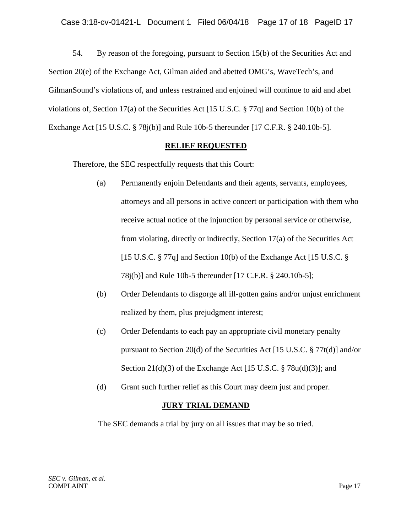54. By reason of the foregoing, pursuant to Section 15(b) of the Securities Act and Section 20(e) of the Exchange Act, Gilman aided and abetted OMG's, WaveTech's, and GilmanSound's violations of, and unless restrained and enjoined will continue to aid and abet violations of, Section 17(a) of the Securities Act [15 U.S.C. § 77q] and Section 10(b) of the Exchange Act [15 U.S.C. § 78j(b)] and Rule 10b-5 thereunder [17 C.F.R. § 240.10b-5].

### **RELIEF REQUESTED**

Therefore, the SEC respectfully requests that this Court:

- (a) Permanently enjoin Defendants and their agents, servants, employees, attorneys and all persons in active concert or participation with them who receive actual notice of the injunction by personal service or otherwise, from violating, directly or indirectly, Section 17(a) of the Securities Act [15 U.S.C. § 77q] and Section 10(b) of the Exchange Act [15 U.S.C. § 78j(b)] and Rule 10b-5 thereunder [17 C.F.R. § 240.10b-5];
- (b) Order Defendants to disgorge all ill-gotten gains and/or unjust enrichment realized by them, plus prejudgment interest;
- (c) Order Defendants to each pay an appropriate civil monetary penalty pursuant to Section 20(d) of the Securities Act [15 U.S.C. § 77t(d)] and/or Section  $21(d)(3)$  of the Exchange Act [15 U.S.C. § 78u(d)(3)]; and
- (d) Grant such further relief as this Court may deem just and proper.

# **JURY TRIAL DEMAND**

The SEC demands a trial by jury on all issues that may be so tried.